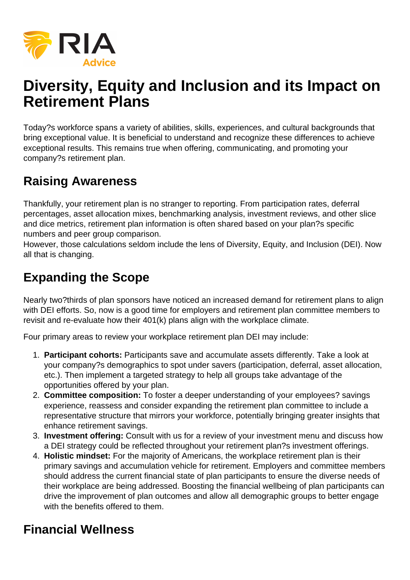

# **Diversity, Equity and Inclusion and its Impact on Retirement Plans**

Today?s workforce spans a variety of abilities, skills, experiences, and cultural backgrounds that bring exceptional value. It is beneficial to understand and recognize these differences to achieve exceptional results. This remains true when offering, communicating, and promoting your company?s retirement plan.

#### **Raising Awareness**

Thankfully, your retirement plan is no stranger to reporting. From participation rates, deferral percentages, asset allocation mixes, benchmarking analysis, investment reviews, and other slice and dice metrics, retirement plan information is often shared based on your plan?s specific numbers and peer group comparison.

However, those calculations seldom include the lens of Diversity, Equity, and Inclusion (DEI). Now all that is changing.

## **Expanding the Scope**

Nearly two?thirds of plan sponsors have noticed an increased demand for retirement plans to align with DEI efforts. So, now is a good time for employers and retirement plan committee members to revisit and re-evaluate how their 401(k) plans align with the workplace climate.

Four primary areas to review your workplace retirement plan DEI may include:

- 1. **Participant cohorts:** Participants save and accumulate assets differently. Take a look at your company?s demographics to spot under savers (participation, deferral, asset allocation, etc.). Then implement a targeted strategy to help all groups take advantage of the opportunities offered by your plan.
- 2. **Committee composition:** To foster a deeper understanding of your employees? savings experience, reassess and consider expanding the retirement plan committee to include a representative structure that mirrors your workforce, potentially bringing greater insights that enhance retirement savings.
- 3. **Investment offering:** Consult with us for a review of your investment menu and discuss how a DEI strategy could be reflected throughout your retirement plan?s investment offerings.
- 4. **Holistic mindset:** For the majority of Americans, the workplace retirement plan is their primary savings and accumulation vehicle for retirement. Employers and committee members should address the current financial state of plan participants to ensure the diverse needs of their workplace are being addressed. Boosting the financial wellbeing of plan participants can drive the improvement of plan outcomes and allow all demographic groups to better engage with the benefits offered to them.

## **Financial Wellness**